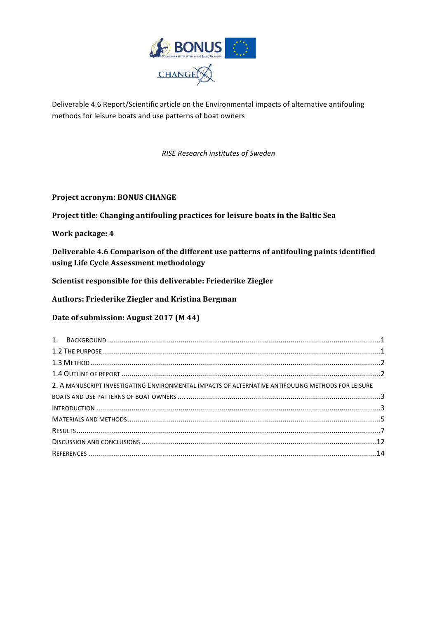

Deliverable 4.6 Report/Scientific article on the Environmental impacts of alternative antifouling methods for leisure boats and use patterns of boat owners

#### *RISE Research institutes of Sweden*

#### **Project acronym: BONUS CHANGE**

Project title: Changing antifouling practices for leisure boats in the Baltic Sea

**Work package: 4**

Deliverable 4.6 Comparison of the different use patterns of antifouling paints identified **using Life Cycle Assessment methodology** 

Scientist responsible for this deliverable: Friederike Ziegler

**Authors: Friederike Ziegler and Kristina Bergman**

**Date of submission: August 2017 (M 44)** 

| 2. A MANUSCRIPT INVESTIGATING ENVIRONMENTAL IMPACTS OF ALTERNATIVE ANTIFOULING METHODS FOR LEISURE |  |  |  |
|----------------------------------------------------------------------------------------------------|--|--|--|
|                                                                                                    |  |  |  |
|                                                                                                    |  |  |  |
|                                                                                                    |  |  |  |
|                                                                                                    |  |  |  |
|                                                                                                    |  |  |  |
|                                                                                                    |  |  |  |
|                                                                                                    |  |  |  |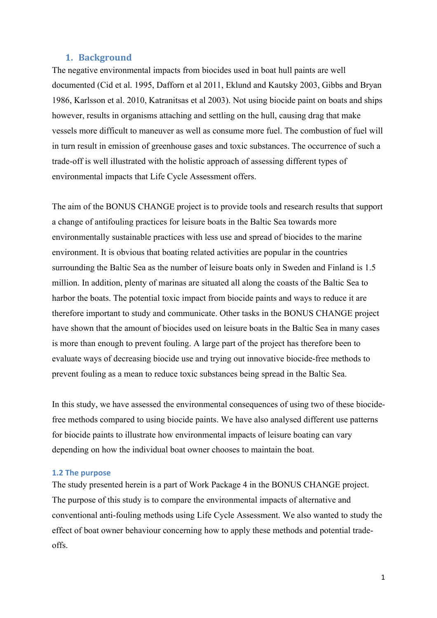#### **1. Background**

The negative environmental impacts from biocides used in boat hull paints are well documented (Cid et al. 1995, Dafforn et al 2011, Eklund and Kautsky 2003, Gibbs and Bryan 1986, Karlsson et al. 2010, Katranitsas et al 2003). Not using biocide paint on boats and ships however, results in organisms attaching and settling on the hull, causing drag that make vessels more difficult to maneuver as well as consume more fuel. The combustion of fuel will in turn result in emission of greenhouse gases and toxic substances. The occurrence of such a trade-off is well illustrated with the holistic approach of assessing different types of environmental impacts that Life Cycle Assessment offers.

The aim of the BONUS CHANGE project is to provide tools and research results that support a change of antifouling practices for leisure boats in the Baltic Sea towards more environmentally sustainable practices with less use and spread of biocides to the marine environment. It is obvious that boating related activities are popular in the countries surrounding the Baltic Sea as the number of leisure boats only in Sweden and Finland is 1.5 million. In addition, plenty of marinas are situated all along the coasts of the Baltic Sea to harbor the boats. The potential toxic impact from biocide paints and ways to reduce it are therefore important to study and communicate. Other tasks in the BONUS CHANGE project have shown that the amount of biocides used on leisure boats in the Baltic Sea in many cases is more than enough to prevent fouling. A large part of the project has therefore been to evaluate ways of decreasing biocide use and trying out innovative biocide-free methods to prevent fouling as a mean to reduce toxic substances being spread in the Baltic Sea.

In this study, we have assessed the environmental consequences of using two of these biocidefree methods compared to using biocide paints. We have also analysed different use patterns for biocide paints to illustrate how environmental impacts of leisure boating can vary depending on how the individual boat owner chooses to maintain the boat.

#### **1.2 The purpose**

The study presented herein is a part of Work Package 4 in the BONUS CHANGE project. The purpose of this study is to compare the environmental impacts of alternative and conventional anti-fouling methods using Life Cycle Assessment. We also wanted to study the effect of boat owner behaviour concerning how to apply these methods and potential tradeoffs.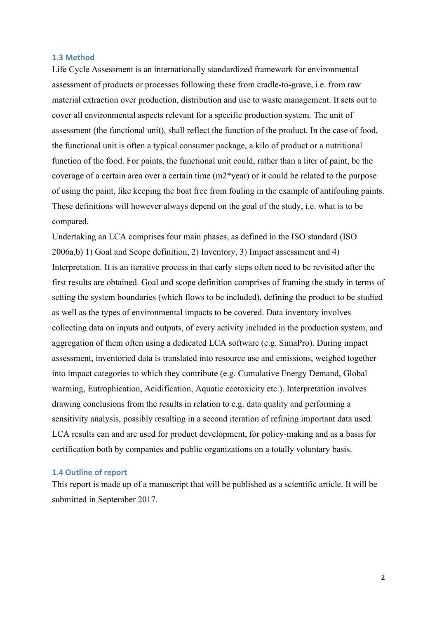#### **1.3 Method**

Life Cycle Assessment is an internationally standardized framework for environmental assessment of products or processes following these from cradle-to-grave, i.e. from raw material extraction over production, distribution and use to waste management. It sets out to cover all environmental aspects relevant for a specific production system. The unit of assessment (the functional unit), shall reflect the function of the product. In the case of food, the functional unit is often a typical consumer package, a kilo of product or a nutritional function of the food. For paints, the functional unit could, rather than a liter of paint, be the coverage of a certain area over a certain time (m2\*year) or it could be related to the purpose of using the paint, like keeping the boat free from fouling in the example of antifouling paints. These definitions will however always depend on the goal of the study, i.e. what is to be compared.

Undertaking an LCA comprises four main phases, as defined in the ISO standard (ISO 2006a,b) 1) Goal and Scope definition, 2) Inventory, 3) Impact assessment and 4) Interpretation. It is an iterative process in that early steps often need to be revisited after the first results are obtained. Goal and scope definition comprises of framing the study in terms of setting the system boundaries (which flows to be included), defining the product to be studied as well as the types of environmental impacts to be covered. Data inventory involves collecting data on inputs and outputs, of every activity included in the production system, and aggregation of them often using a dedicated LCA software (e.g. SimaPro). During impact assessment, inventoried data is translated into resource use and emissions, weighed together into impact categories to which they contribute (e.g. Cumulative Energy Demand, Global warming, Eutrophication, Acidification, Aquatic ecotoxicity etc.). Interpretation involves drawing conclusions from the results in relation to e.g. data quality and performing a sensitivity analysis, possibly resulting in a second iteration of refining important data used. LCA results can and are used for product development, for policy-making and as a basis for certification both by companies and public organizations on a totally voluntary basis.

#### **1.4 Outline of report**

This report is made up of a manuscript that will be published as a scientific article. It will be submitted in September 2017.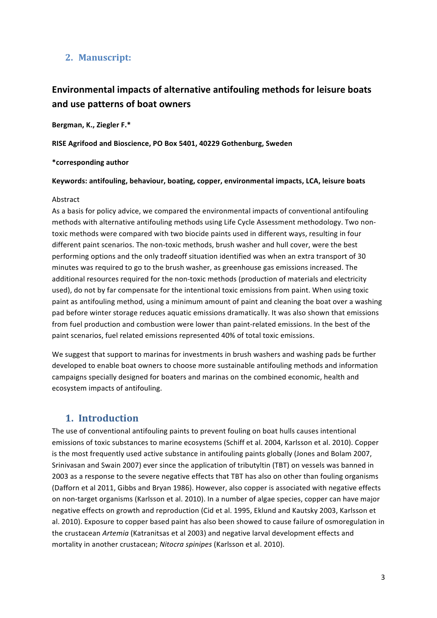### **2. Manuscript:**

# **Environmental impacts of alternative antifouling methods for leisure boats** and use patterns of boat owners

Bergman, K., Ziegler F.\*

**RISE Agrifood and Bioscience, PO Box 5401, 40229 Gothenburg, Sweden** 

#### **\*corresponding author**

#### Keywords: antifouling, behaviour, boating, copper, environmental impacts, LCA, leisure boats

#### Abstract

As a basis for policy advice, we compared the environmental impacts of conventional antifouling methods with alternative antifouling methods using Life Cycle Assessment methodology. Two nontoxic methods were compared with two biocide paints used in different ways, resulting in four different paint scenarios. The non-toxic methods, brush washer and hull cover, were the best performing options and the only tradeoff situation identified was when an extra transport of 30 minutes was required to go to the brush washer, as greenhouse gas emissions increased. The additional resources required for the non-toxic methods (production of materials and electricity used), do not by far compensate for the intentional toxic emissions from paint. When using toxic paint as antifouling method, using a minimum amount of paint and cleaning the boat over a washing pad before winter storage reduces aquatic emissions dramatically. It was also shown that emissions from fuel production and combustion were lower than paint-related emissions. In the best of the paint scenarios, fuel related emissions represented 40% of total toxic emissions.

We suggest that support to marinas for investments in brush washers and washing pads be further developed to enable boat owners to choose more sustainable antifouling methods and information campaigns specially designed for boaters and marinas on the combined economic, health and ecosystem impacts of antifouling.

## **1. Introduction**

The use of conventional antifouling paints to prevent fouling on boat hulls causes intentional emissions of toxic substances to marine ecosystems (Schiff et al. 2004, Karlsson et al. 2010). Copper is the most frequently used active substance in antifouling paints globally (Jones and Bolam 2007, Srinivasan and Swain 2007) ever since the application of tributyltin (TBT) on vessels was banned in 2003 as a response to the severe negative effects that TBT has also on other than fouling organisms (Dafforn et al 2011, Gibbs and Bryan 1986). However, also copper is associated with negative effects on non-target organisms (Karlsson et al. 2010). In a number of algae species, copper can have major negative effects on growth and reproduction (Cid et al. 1995, Eklund and Kautsky 2003, Karlsson et al. 2010). Exposure to copper based paint has also been showed to cause failure of osmoregulation in the crustacean Artemia (Katranitsas et al 2003) and negative larval development effects and mortality in another crustacean; Nitocra spinipes (Karlsson et al. 2010).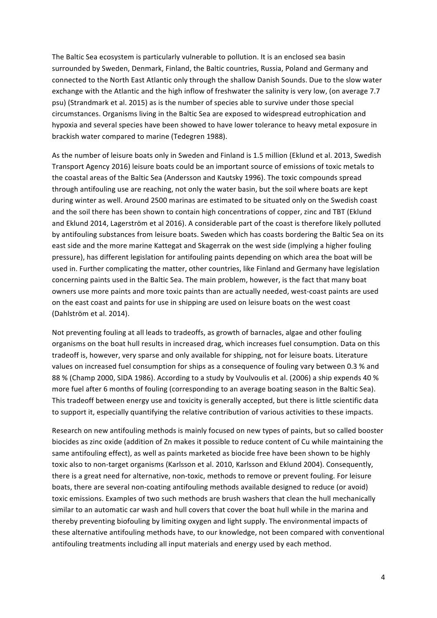The Baltic Sea ecosystem is particularly vulnerable to pollution. It is an enclosed sea basin surrounded by Sweden, Denmark, Finland, the Baltic countries, Russia, Poland and Germany and connected to the North East Atlantic only through the shallow Danish Sounds. Due to the slow water exchange with the Atlantic and the high inflow of freshwater the salinity is very low, (on average 7.7 psu) (Strandmark et al. 2015) as is the number of species able to survive under those special circumstances. Organisms living in the Baltic Sea are exposed to widespread eutrophication and hypoxia and several species have been showed to have lower tolerance to heavy metal exposure in brackish water compared to marine (Tedegren 1988).

As the number of leisure boats only in Sweden and Finland is 1.5 million (Eklund et al. 2013, Swedish Transport Agency 2016) leisure boats could be an important source of emissions of toxic metals to the coastal areas of the Baltic Sea (Andersson and Kautsky 1996). The toxic compounds spread through antifouling use are reaching, not only the water basin, but the soil where boats are kept during winter as well. Around 2500 marinas are estimated to be situated only on the Swedish coast and the soil there has been shown to contain high concentrations of copper, zinc and TBT (Eklund and Eklund 2014, Lagerström et al 2016). A considerable part of the coast is therefore likely polluted by antifouling substances from leisure boats. Sweden which has coasts bordering the Baltic Sea on its east side and the more marine Kattegat and Skagerrak on the west side (implying a higher fouling pressure), has different legislation for antifouling paints depending on which area the boat will be used in. Further complicating the matter, other countries, like Finland and Germany have legislation concerning paints used in the Baltic Sea. The main problem, however, is the fact that many boat owners use more paints and more toxic paints than are actually needed, west-coast paints are used on the east coast and paints for use in shipping are used on leisure boats on the west coast (Dahlström et al. 2014).

Not preventing fouling at all leads to tradeoffs, as growth of barnacles, algae and other fouling organisms on the boat hull results in increased drag, which increases fuel consumption. Data on this tradeoff is, however, very sparse and only available for shipping, not for leisure boats. Literature values on increased fuel consumption for ships as a consequence of fouling vary between 0.3 % and 88 % (Champ 2000, SIDA 1986). According to a study by Voulvoulis et al. (2006) a ship expends 40 % more fuel after 6 months of fouling (corresponding to an average boating season in the Baltic Sea). This tradeoff between energy use and toxicity is generally accepted, but there is little scientific data to support it, especially quantifying the relative contribution of various activities to these impacts.

Research on new antifouling methods is mainly focused on new types of paints, but so called booster biocides as zinc oxide (addition of Zn makes it possible to reduce content of Cu while maintaining the same antifouling effect), as well as paints marketed as biocide free have been shown to be highly toxic also to non-target organisms (Karlsson et al. 2010, Karlsson and Eklund 2004). Consequently, there is a great need for alternative, non-toxic, methods to remove or prevent fouling. For leisure boats, there are several non-coating antifouling methods available designed to reduce (or avoid) toxic emissions. Examples of two such methods are brush washers that clean the hull mechanically similar to an automatic car wash and hull covers that cover the boat hull while in the marina and thereby preventing biofouling by limiting oxygen and light supply. The environmental impacts of these alternative antifouling methods have, to our knowledge, not been compared with conventional antifouling treatments including all input materials and energy used by each method.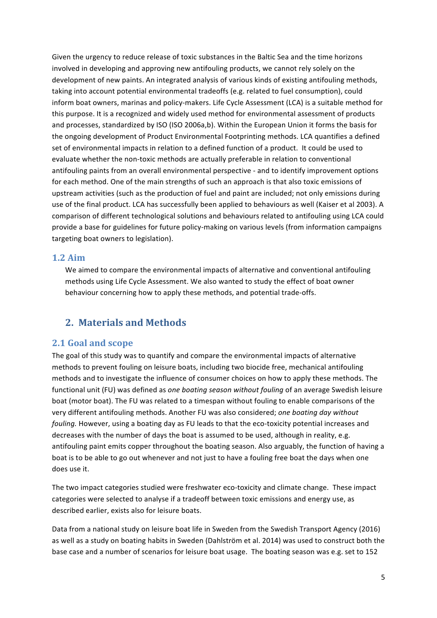Given the urgency to reduce release of toxic substances in the Baltic Sea and the time horizons involved in developing and approving new antifouling products, we cannot rely solely on the development of new paints. An integrated analysis of various kinds of existing antifouling methods, taking into account potential environmental tradeoffs (e.g. related to fuel consumption), could inform boat owners, marinas and policy-makers. Life Cycle Assessment (LCA) is a suitable method for this purpose. It is a recognized and widely used method for environmental assessment of products and processes, standardized by ISO (ISO 2006a,b). Within the European Union it forms the basis for the ongoing development of Product Environmental Footprinting methods. LCA quantifies a defined set of environmental impacts in relation to a defined function of a product. It could be used to evaluate whether the non-toxic methods are actually preferable in relation to conventional antifouling paints from an overall environmental perspective - and to identify improvement options for each method. One of the main strengths of such an approach is that also toxic emissions of upstream activities (such as the production of fuel and paint are included; not only emissions during use of the final product. LCA has successfully been applied to behaviours as well (Kaiser et al 2003). A comparison of different technological solutions and behaviours related to antifouling using LCA could provide a base for guidelines for future policy-making on various levels (from information campaigns targeting boat owners to legislation).

#### **1.2 Aim**

We aimed to compare the environmental impacts of alternative and conventional antifouling methods using Life Cycle Assessment. We also wanted to study the effect of boat owner behaviour concerning how to apply these methods, and potential trade-offs.

### **2. Materials and Methods**

#### **2.1 Goal and scope**

The goal of this study was to quantify and compare the environmental impacts of alternative methods to prevent fouling on leisure boats, including two biocide free, mechanical antifouling methods and to investigate the influence of consumer choices on how to apply these methods. The functional unit (FU) was defined as *one boating season without fouling* of an average Swedish leisure boat (motor boat). The FU was related to a timespan without fouling to enable comparisons of the very different antifouling methods. Another FU was also considered; one boating day without *fouling*. However, using a boating day as FU leads to that the eco-toxicity potential increases and decreases with the number of days the boat is assumed to be used, although in reality, e.g. antifouling paint emits copper throughout the boating season. Also arguably, the function of having a boat is to be able to go out whenever and not just to have a fouling free boat the days when one does use it.

The two impact categories studied were freshwater eco-toxicity and climate change. These impact categories were selected to analyse if a tradeoff between toxic emissions and energy use, as described earlier, exists also for leisure boats.

Data from a national study on leisure boat life in Sweden from the Swedish Transport Agency (2016) as well as a study on boating habits in Sweden (Dahlström et al. 2014) was used to construct both the base case and a number of scenarios for leisure boat usage. The boating season was e.g. set to 152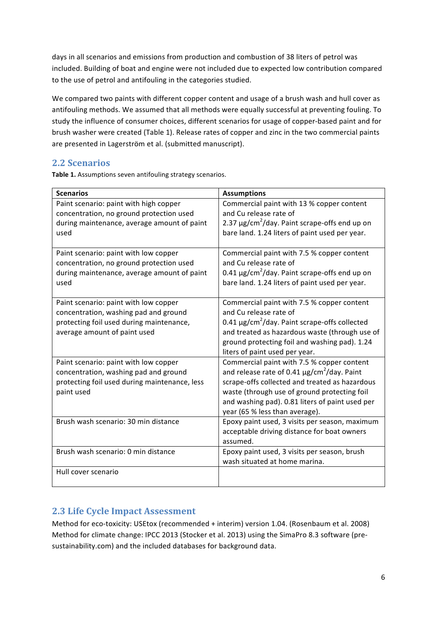days in all scenarios and emissions from production and combustion of 38 liters of petrol was included. Building of boat and engine were not included due to expected low contribution compared to the use of petrol and antifouling in the categories studied.

We compared two paints with different copper content and usage of a brush wash and hull cover as antifouling methods. We assumed that all methods were equally successful at preventing fouling. To study the influence of consumer choices, different scenarios for usage of copper-based paint and for brush washer were created (Table 1). Release rates of copper and zinc in the two commercial paints are presented in Lagerström et al. (submitted manuscript).

### **2.2 Scenarios**

Table 1. Assumptions seven antifouling strategy scenarios.

| <b>Scenarios</b>                              | <b>Assumptions</b>                                             |
|-----------------------------------------------|----------------------------------------------------------------|
| Paint scenario: paint with high copper        | Commercial paint with 13 % copper content                      |
| concentration, no ground protection used      | and Cu release rate of                                         |
| during maintenance, average amount of paint   | 2.37 $\mu$ g/cm <sup>2</sup> /day. Paint scrape-offs end up on |
| used                                          | bare land. 1.24 liters of paint used per year.                 |
|                                               |                                                                |
| Paint scenario: paint with low copper         | Commercial paint with 7.5 % copper content                     |
| concentration, no ground protection used      | and Cu release rate of                                         |
| during maintenance, average amount of paint   | 0.41 $\mu$ g/cm <sup>2</sup> /day. Paint scrape-offs end up on |
| used                                          | bare land. 1.24 liters of paint used per year.                 |
|                                               |                                                                |
| Paint scenario: paint with low copper         | Commercial paint with 7.5 % copper content                     |
| concentration, washing pad and ground         | and Cu release rate of                                         |
| protecting foil used during maintenance,      | $0.41 \mu g/cm^2$ /day. Paint scrape-offs collected            |
| average amount of paint used                  | and treated as hazardous waste (through use of                 |
|                                               | ground protecting foil and washing pad). 1.24                  |
|                                               | liters of paint used per year.                                 |
| Paint scenario: paint with low copper         | Commercial paint with 7.5 % copper content                     |
| concentration, washing pad and ground         | and release rate of 0.41 $\mu$ g/cm <sup>2</sup> /day. Paint   |
| protecting foil used during maintenance, less | scrape-offs collected and treated as hazardous                 |
| paint used                                    | waste (through use of ground protecting foil                   |
|                                               | and washing pad). 0.81 liters of paint used per                |
|                                               | year (65 % less than average).                                 |
| Brush wash scenario: 30 min distance          | Epoxy paint used, 3 visits per season, maximum                 |
|                                               | acceptable driving distance for boat owners                    |
|                                               | assumed.                                                       |
| Brush wash scenario: 0 min distance           | Epoxy paint used, 3 visits per season, brush                   |
|                                               | wash situated at home marina.                                  |
| Hull cover scenario                           |                                                                |
|                                               |                                                                |

## **2.3 Life Cycle Impact Assessment**

Method for eco-toxicity: USEtox (recommended + interim) version 1.04. (Rosenbaum et al. 2008) Method for climate change: IPCC 2013 (Stocker et al. 2013) using the SimaPro 8.3 software (presustainability.com) and the included databases for background data.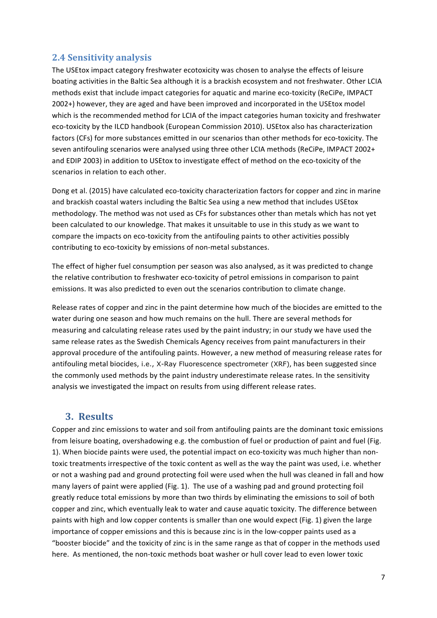### **2.4 Sensitivity analysis**

The USEtox impact category freshwater ecotoxicity was chosen to analyse the effects of leisure boating activities in the Baltic Sea although it is a brackish ecosystem and not freshwater. Other LCIA methods exist that include impact categories for aquatic and marine eco-toxicity (ReCiPe, IMPACT 2002+) however, they are aged and have been improved and incorporated in the USEtox model which is the recommended method for LCIA of the impact categories human toxicity and freshwater eco-toxicity by the ILCD handbook (European Commission 2010). USEtox also has characterization factors (CFs) for more substances emitted in our scenarios than other methods for eco-toxicity. The seven antifouling scenarios were analysed using three other LCIA methods (ReCiPe, IMPACT 2002+ and EDIP 2003) in addition to USEtox to investigate effect of method on the eco-toxicity of the scenarios in relation to each other.

Dong et al. (2015) have calculated eco-toxicity characterization factors for copper and zinc in marine and brackish coastal waters including the Baltic Sea using a new method that includes USEtox methodology. The method was not used as CFs for substances other than metals which has not yet been calculated to our knowledge. That makes it unsuitable to use in this study as we want to compare the impacts on eco-toxicity from the antifouling paints to other activities possibly contributing to eco-toxicity by emissions of non-metal substances.

The effect of higher fuel consumption per season was also analysed, as it was predicted to change the relative contribution to freshwater eco-toxicity of petrol emissions in comparison to paint emissions. It was also predicted to even out the scenarios contribution to climate change.

Release rates of copper and zinc in the paint determine how much of the biocides are emitted to the water during one season and how much remains on the hull. There are several methods for measuring and calculating release rates used by the paint industry; in our study we have used the same release rates as the Swedish Chemicals Agency receives from paint manufacturers in their approval procedure of the antifouling paints. However, a new method of measuring release rates for antifouling metal biocides, i.e., X-Ray Fluorescence spectrometer (XRF), has been suggested since the commonly used methods by the paint industry underestimate release rates. In the sensitivity analysis we investigated the impact on results from using different release rates.

### **3. Results**

Copper and zinc emissions to water and soil from antifouling paints are the dominant toxic emissions from leisure boating, overshadowing e.g. the combustion of fuel or production of paint and fuel (Fig. 1). When biocide paints were used, the potential impact on eco-toxicity was much higher than nontoxic treatments irrespective of the toxic content as well as the way the paint was used, i.e. whether or not a washing pad and ground protecting foil were used when the hull was cleaned in fall and how many layers of paint were applied (Fig. 1). The use of a washing pad and ground protecting foil greatly reduce total emissions by more than two thirds by eliminating the emissions to soil of both copper and zinc, which eventually leak to water and cause aquatic toxicity. The difference between paints with high and low copper contents is smaller than one would expect (Fig. 1) given the large importance of copper emissions and this is because zinc is in the low-copper paints used as a "booster biocide" and the toxicity of zinc is in the same range as that of copper in the methods used here. As mentioned, the non-toxic methods boat washer or hull cover lead to even lower toxic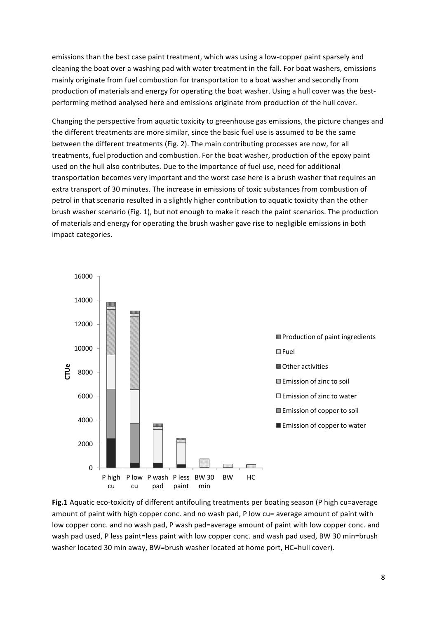emissions than the best case paint treatment, which was using a low-copper paint sparsely and cleaning the boat over a washing pad with water treatment in the fall. For boat washers, emissions mainly originate from fuel combustion for transportation to a boat washer and secondly from production of materials and energy for operating the boat washer. Using a hull cover was the bestperforming method analysed here and emissions originate from production of the hull cover.

Changing the perspective from aquatic toxicity to greenhouse gas emissions, the picture changes and the different treatments are more similar, since the basic fuel use is assumed to be the same between the different treatments (Fig. 2). The main contributing processes are now, for all treatments, fuel production and combustion. For the boat washer, production of the epoxy paint used on the hull also contributes. Due to the importance of fuel use, need for additional transportation becomes very important and the worst case here is a brush washer that requires an extra transport of 30 minutes. The increase in emissions of toxic substances from combustion of petrol in that scenario resulted in a slightly higher contribution to aquatic toxicity than the other brush washer scenario (Fig. 1), but not enough to make it reach the paint scenarios. The production of materials and energy for operating the brush washer gave rise to negligible emissions in both impact categories.



**Fig.1** Aquatic eco-toxicity of different antifouling treatments per boating season (P high cu=average amount of paint with high copper conc. and no wash pad, P low cu= average amount of paint with low copper conc. and no wash pad, P wash pad=average amount of paint with low copper conc. and wash pad used, P less paint=less paint with low copper conc. and wash pad used, BW 30 min=brush washer located 30 min away, BW=brush washer located at home port, HC=hull cover).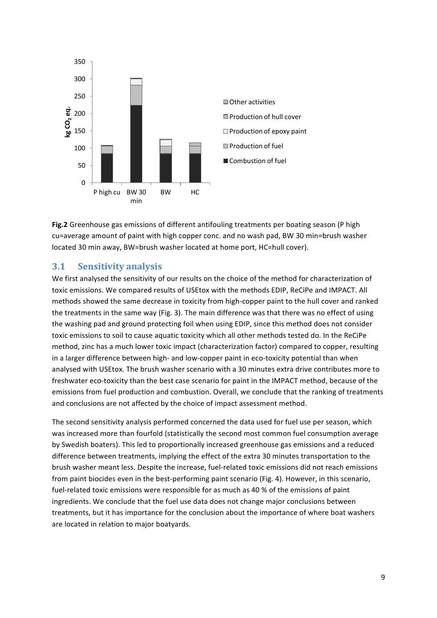

Fig.2 Greenhouse gas emissions of different antifouling treatments per boating season (P high cu=average amount of paint with high copper conc. and no wash pad, BW 30 min=brush washer located 30 min away, BW=brush washer located at home port, HC=hull cover).

#### **3.1 Sensitivity analysis**

We first analysed the sensitivity of our results on the choice of the method for characterization of toxic emissions. We compared results of USEtox with the methods EDIP, ReCiPe and IMPACT. All methods showed the same decrease in toxicity from high-copper paint to the hull cover and ranked the treatments in the same way (Fig. 3). The main difference was that there was no effect of using the washing pad and ground protecting foil when using EDIP, since this method does not consider toxic emissions to soil to cause aquatic toxicity which all other methods tested do. In the ReCiPe method, zinc has a much lower toxic impact (characterization factor) compared to copper, resulting in a larger difference between high- and low-copper paint in eco-toxicity potential than when analysed with USEtox. The brush washer scenario with a 30 minutes extra drive contributes more to freshwater eco-toxicity than the best case scenario for paint in the IMPACT method, because of the emissions from fuel production and combustion. Overall, we conclude that the ranking of treatments and conclusions are not affected by the choice of impact assessment method.

The second sensitivity analysis performed concerned the data used for fuel use per season, which was increased more than fourfold (statistically the second most common fuel consumption average by Swedish boaters). This led to proportionally increased greenhouse gas emissions and a reduced difference between treatments, implying the effect of the extra 30 minutes transportation to the brush washer meant less. Despite the increase, fuel-related toxic emissions did not reach emissions from paint biocides even in the best-performing paint scenario (Fig. 4). However, in this scenario, fuel-related toxic emissions were responsible for as much as 40 % of the emissions of paint ingredients. We conclude that the fuel use data does not change major conclusions between treatments, but it has importance for the conclusion about the importance of where boat washers are located in relation to major boatyards.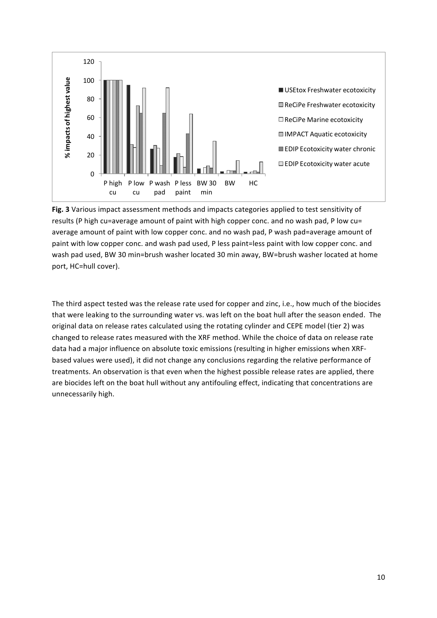

Fig. 3 Various impact assessment methods and impacts categories applied to test sensitivity of results (P high cu=average amount of paint with high copper conc. and no wash pad, P low cu= average amount of paint with low copper conc. and no wash pad, P wash pad=average amount of paint with low copper conc. and wash pad used, P less paint=less paint with low copper conc. and wash pad used, BW 30 min=brush washer located 30 min away, BW=brush washer located at home port, HC=hull cover).

The third aspect tested was the release rate used for copper and zinc, i.e., how much of the biocides that were leaking to the surrounding water vs. was left on the boat hull after the season ended. The original data on release rates calculated using the rotating cylinder and CEPE model (tier 2) was changed to release rates measured with the XRF method. While the choice of data on release rate data had a major influence on absolute toxic emissions (resulting in higher emissions when XRFbased values were used), it did not change any conclusions regarding the relative performance of treatments. An observation is that even when the highest possible release rates are applied, there are biocides left on the boat hull without any antifouling effect, indicating that concentrations are unnecessarily high.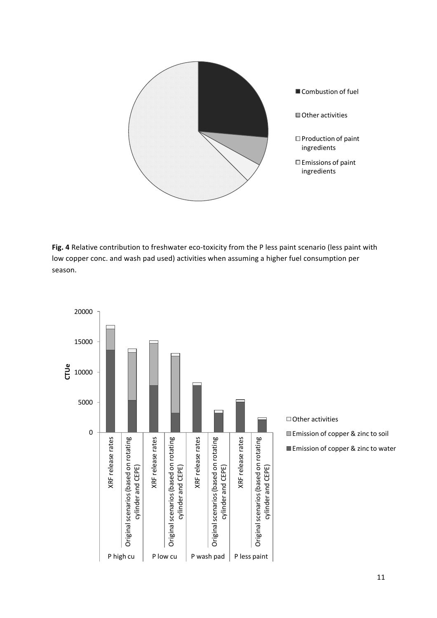

Fig. 4 Relative contribution to freshwater eco-toxicity from the P less paint scenario (less paint with low copper conc. and wash pad used) activities when assuming a higher fuel consumption per season.

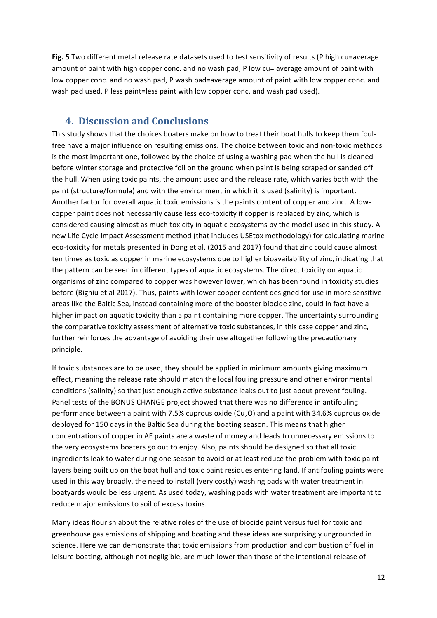**Fig. 5** Two different metal release rate datasets used to test sensitivity of results (P high cu=average amount of paint with high copper conc. and no wash pad, P low cu= average amount of paint with low copper conc. and no wash pad, P wash pad=average amount of paint with low copper conc. and wash pad used, P less paint=less paint with low copper conc. and wash pad used).

## **4. Discussion and Conclusions**

This study shows that the choices boaters make on how to treat their boat hulls to keep them foulfree have a major influence on resulting emissions. The choice between toxic and non-toxic methods is the most important one, followed by the choice of using a washing pad when the hull is cleaned before winter storage and protective foil on the ground when paint is being scraped or sanded off the hull. When using toxic paints, the amount used and the release rate, which varies both with the paint (structure/formula) and with the environment in which it is used (salinity) is important. Another factor for overall aquatic toxic emissions is the paints content of copper and zinc. A lowcopper paint does not necessarily cause less eco-toxicity if copper is replaced by zinc, which is considered causing almost as much toxicity in aquatic ecosystems by the model used in this study. A new Life Cycle Impact Assessment method (that includes USEtox methodology) for calculating marine eco-toxicity for metals presented in Dong et al. (2015 and 2017) found that zinc could cause almost ten times as toxic as copper in marine ecosystems due to higher bioavailability of zinc, indicating that the pattern can be seen in different types of aquatic ecosystems. The direct toxicity on aquatic organisms of zinc compared to copper was however lower, which has been found in toxicity studies before (Bighiu et al 2017). Thus, paints with lower copper content designed for use in more sensitive areas like the Baltic Sea, instead containing more of the booster biocide zinc, could in fact have a higher impact on aquatic toxicity than a paint containing more copper. The uncertainty surrounding the comparative toxicity assessment of alternative toxic substances, in this case copper and zinc, further reinforces the advantage of avoiding their use altogether following the precautionary principle.

If toxic substances are to be used, they should be applied in minimum amounts giving maximum effect, meaning the release rate should match the local fouling pressure and other environmental conditions (salinity) so that just enough active substance leaks out to just about prevent fouling. Panel tests of the BONUS CHANGE project showed that there was no difference in antifouling performance between a paint with 7.5% cuprous oxide (Cu<sub>2</sub>O) and a paint with 34.6% cuprous oxide deployed for 150 days in the Baltic Sea during the boating season. This means that higher concentrations of copper in AF paints are a waste of money and leads to unnecessary emissions to the very ecosystems boaters go out to enjoy. Also, paints should be designed so that all toxic ingredients leak to water during one season to avoid or at least reduce the problem with toxic paint layers being built up on the boat hull and toxic paint residues entering land. If antifouling paints were used in this way broadly, the need to install (very costly) washing pads with water treatment in boatyards would be less urgent. As used today, washing pads with water treatment are important to reduce major emissions to soil of excess toxins.

Many ideas flourish about the relative roles of the use of biocide paint versus fuel for toxic and greenhouse gas emissions of shipping and boating and these ideas are surprisingly ungrounded in science. Here we can demonstrate that toxic emissions from production and combustion of fuel in leisure boating, although not negligible, are much lower than those of the intentional release of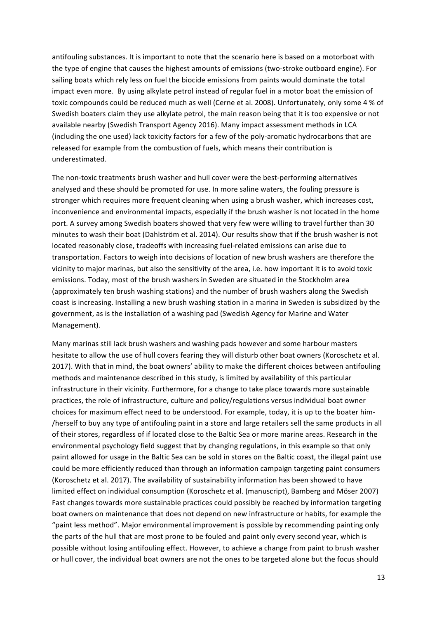antifouling substances. It is important to note that the scenario here is based on a motorboat with the type of engine that causes the highest amounts of emissions (two-stroke outboard engine). For sailing boats which rely less on fuel the biocide emissions from paints would dominate the total impact even more. By using alkylate petrol instead of regular fuel in a motor boat the emission of toxic compounds could be reduced much as well (Cerne et al. 2008). Unfortunately, only some 4 % of Swedish boaters claim they use alkylate petrol, the main reason being that it is too expensive or not available nearby (Swedish Transport Agency 2016). Many impact assessment methods in LCA (including the one used) lack toxicity factors for a few of the poly-aromatic hydrocarbons that are released for example from the combustion of fuels, which means their contribution is underestimated. 

The non-toxic treatments brush washer and hull cover were the best-performing alternatives analysed and these should be promoted for use. In more saline waters, the fouling pressure is stronger which requires more frequent cleaning when using a brush washer, which increases cost, inconvenience and environmental impacts, especially if the brush washer is not located in the home port. A survey among Swedish boaters showed that very few were willing to travel further than 30 minutes to wash their boat (Dahlström et al. 2014). Our results show that if the brush washer is not located reasonably close, tradeoffs with increasing fuel-related emissions can arise due to transportation. Factors to weigh into decisions of location of new brush washers are therefore the vicinity to major marinas, but also the sensitivity of the area, i.e. how important it is to avoid toxic emissions. Today, most of the brush washers in Sweden are situated in the Stockholm area (approximately ten brush washing stations) and the number of brush washers along the Swedish coast is increasing. Installing a new brush washing station in a marina in Sweden is subsidized by the government, as is the installation of a washing pad (Swedish Agency for Marine and Water Management). 

Many marinas still lack brush washers and washing pads however and some harbour masters hesitate to allow the use of hull covers fearing they will disturb other boat owners (Koroschetz et al. 2017). With that in mind, the boat owners' ability to make the different choices between antifouling methods and maintenance described in this study, is limited by availability of this particular infrastructure in their vicinity. Furthermore, for a change to take place towards more sustainable practices, the role of infrastructure, culture and policy/regulations versus individual boat owner choices for maximum effect need to be understood. For example, today, it is up to the boater him-/herself to buy any type of antifouling paint in a store and large retailers sell the same products in all of their stores, regardless of if located close to the Baltic Sea or more marine areas. Research in the environmental psychology field suggest that by changing regulations, in this example so that only paint allowed for usage in the Baltic Sea can be sold in stores on the Baltic coast, the illegal paint use could be more efficiently reduced than through an information campaign targeting paint consumers (Koroschetz et al. 2017). The availability of sustainability information has been showed to have limited effect on individual consumption (Koroschetz et al. (manuscript), Bamberg and Möser 2007) Fast changes towards more sustainable practices could possibly be reached by information targeting boat owners on maintenance that does not depend on new infrastructure or habits, for example the "paint less method". Major environmental improvement is possible by recommending painting only the parts of the hull that are most prone to be fouled and paint only every second year, which is possible without losing antifouling effect. However, to achieve a change from paint to brush washer or hull cover, the individual boat owners are not the ones to be targeted alone but the focus should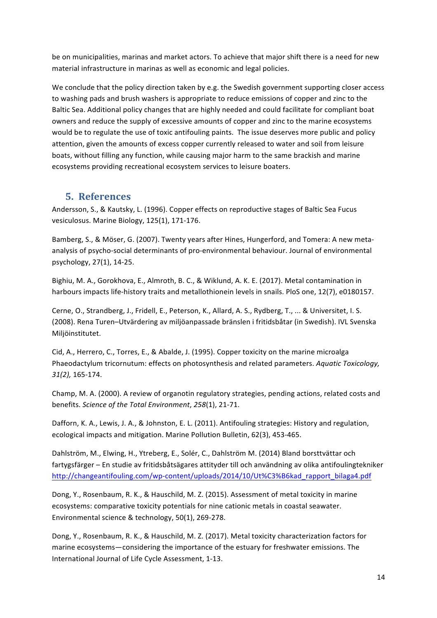be on municipalities, marinas and market actors. To achieve that major shift there is a need for new material infrastructure in marinas as well as economic and legal policies.

We conclude that the policy direction taken by e.g. the Swedish government supporting closer access to washing pads and brush washers is appropriate to reduce emissions of copper and zinc to the Baltic Sea. Additional policy changes that are highly needed and could facilitate for compliant boat owners and reduce the supply of excessive amounts of copper and zinc to the marine ecosystems would be to regulate the use of toxic antifouling paints. The issue deserves more public and policy attention, given the amounts of excess copper currently released to water and soil from leisure boats, without filling any function, while causing major harm to the same brackish and marine ecosystems providing recreational ecosystem services to leisure boaters.

### **5. References**

Andersson, S., & Kautsky, L. (1996). Copper effects on reproductive stages of Baltic Sea Fucus vesiculosus. Marine Biology, 125(1), 171-176.

Bamberg, S., & Möser, G. (2007). Twenty years after Hines, Hungerford, and Tomera: A new metaanalysis of psycho-social determinants of pro-environmental behaviour. Journal of environmental psychology, 27(1), 14-25.

Bighiu, M. A., Gorokhova, E., Almroth, B. C., & Wiklund, A. K. E. (2017). Metal contamination in harbours impacts life-history traits and metallothionein levels in snails. PloS one, 12(7), e0180157.

Cerne, O., Strandberg, J., Fridell, E., Peterson, K., Allard, A. S., Rydberg, T., ... & Universitet, I. S. (2008). Rena Turen–Utvärdering av miljöanpassade bränslen i fritidsbåtar (in Swedish). IVL Svenska Miljöinstitutet.

Cid, A., Herrero, C., Torres, E., & Abalde, J. (1995). Copper toxicity on the marine microalga Phaeodactylum tricornutum: effects on photosynthesis and related parameters. Aquatic Toxicology, *31(2),* 165-174.

Champ, M. A. (2000). A review of organotin regulatory strategies, pending actions, related costs and benefits. Science of the Total Environment, 258(1), 21-71.

Dafforn, K. A., Lewis, J. A., & Johnston, E. L. (2011). Antifouling strategies: History and regulation, ecological impacts and mitigation. Marine Pollution Bulletin, 62(3), 453-465.

Dahlström, M., Elwing, H., Ytreberg, E., Solér, C., Dahlström M. (2014) Bland borsttvättar och fartygsfärger – En studie av fritidsbåtsägares attityder till och användning av olika antifoulingtekniker http://changeantifouling.com/wp-content/uploads/2014/10/Ut%C3%B6kad\_rapport\_bilaga4.pdf

Dong, Y., Rosenbaum, R. K., & Hauschild, M. Z. (2015). Assessment of metal toxicity in marine ecosystems: comparative toxicity potentials for nine cationic metals in coastal seawater. Environmental science & technology, 50(1), 269-278.

Dong, Y., Rosenbaum, R. K., & Hauschild, M. Z. (2017). Metal toxicity characterization factors for marine ecosystems—considering the importance of the estuary for freshwater emissions. The International Journal of Life Cycle Assessment, 1-13.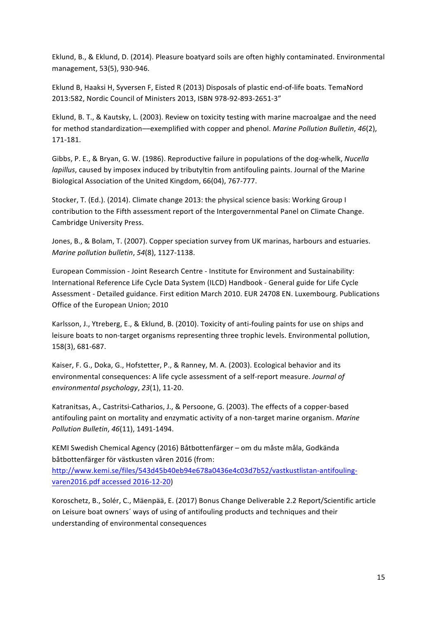Eklund, B., & Eklund, D. (2014). Pleasure boatyard soils are often highly contaminated. Environmental management, 53(5), 930-946.

Eklund B, Haaksi H, Syversen F, Eisted R (2013) Disposals of plastic end-of-life boats. TemaNord 2013:582, Nordic Council of Ministers 2013, ISBN 978-92-893-2651-3"

Eklund, B. T., & Kautsky, L. (2003). Review on toxicity testing with marine macroalgae and the need for method standardization—exemplified with copper and phenol. *Marine Pollution Bulletin*, 46(2), 171-181.

Gibbs, P. E., & Bryan, G. W. (1986). Reproductive failure in populations of the dog-whelk, *Nucella lapillus*, caused by imposex induced by tributyltin from antifouling paints. Journal of the Marine Biological Association of the United Kingdom, 66(04), 767-777.

Stocker, T. (Ed.). (2014). Climate change 2013: the physical science basis: Working Group I contribution to the Fifth assessment report of the Intergovernmental Panel on Climate Change. Cambridge University Press.

Jones, B., & Bolam, T. (2007). Copper speciation survey from UK marinas, harbours and estuaries. *Marine pollution bulletin,* 54(8), 1127-1138.

European Commission - Joint Research Centre - Institute for Environment and Sustainability: International Reference Life Cycle Data System (ILCD) Handbook - General guide for Life Cycle Assessment - Detailed guidance. First edition March 2010. EUR 24708 EN. Luxembourg. Publications Office of the European Union; 2010

Karlsson, J., Ytreberg, E., & Eklund, B. (2010). Toxicity of anti-fouling paints for use on ships and leisure boats to non-target organisms representing three trophic levels. Environmental pollution, 158(3), 681-687.

Kaiser, F. G., Doka, G., Hofstetter, P., & Ranney, M. A. (2003). Ecological behavior and its environmental consequences: A life cycle assessment of a self-report measure. *Journal of environmental psychology*, *23*(1), 11-20.

Katranitsas, A., Castritsi-Catharios, J., & Persoone, G. (2003). The effects of a copper-based antifouling paint on mortality and enzymatic activity of a non-target marine organism. Marine *Pollution Bulletin, 46*(11), 1491-1494.

KEMI Swedish Chemical Agency (2016) Båtbottenfärger – om du måste måla, Godkända båtbottenfärger för västkusten våren 2016 (from:

http://www.kemi.se/files/543d45b40eb94e678a0436e4c03d7b52/vastkustlistan-antifoulingvaren2016.pdf accessed 2016-12-20)

Koroschetz, B., Solér, C., Mäenpää, E. (2017) Bonus Change Deliverable 2.2 Report/Scientific article on Leisure boat owners' ways of using of antifouling products and techniques and their understanding of environmental consequences